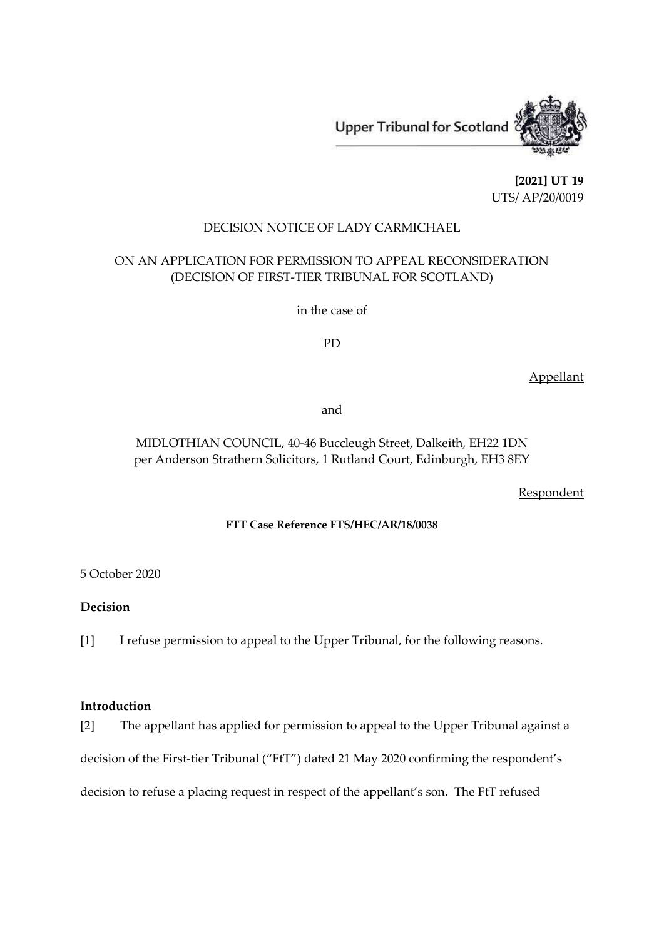

**[2021] UT 19** UTS/ AP/20/0019

### DECISION NOTICE OF LADY CARMICHAEL

# ON AN APPLICATION FOR PERMISSION TO APPEAL RECONSIDERATION (DECISION OF FIRST-TIER TRIBUNAL FOR SCOTLAND)

in the case of

PD

Appellant

and

## MIDLOTHIAN COUNCIL, 40-46 Buccleugh Street, Dalkeith, EH22 1DN per Anderson Strathern Solicitors, 1 Rutland Court, Edinburgh, EH3 8EY

**Respondent** 

### **FTT Case Reference FTS/HEC/AR/18/0038**

5 October 2020

## **Decision**

[1] I refuse permission to appeal to the Upper Tribunal, for the following reasons.

#### **Introduction**

[2] The appellant has applied for permission to appeal to the Upper Tribunal against a decision of the First-tier Tribunal ("FtT") dated 21 May 2020 confirming the respondent's decision to refuse a placing request in respect of the appellant's son. The FtT refused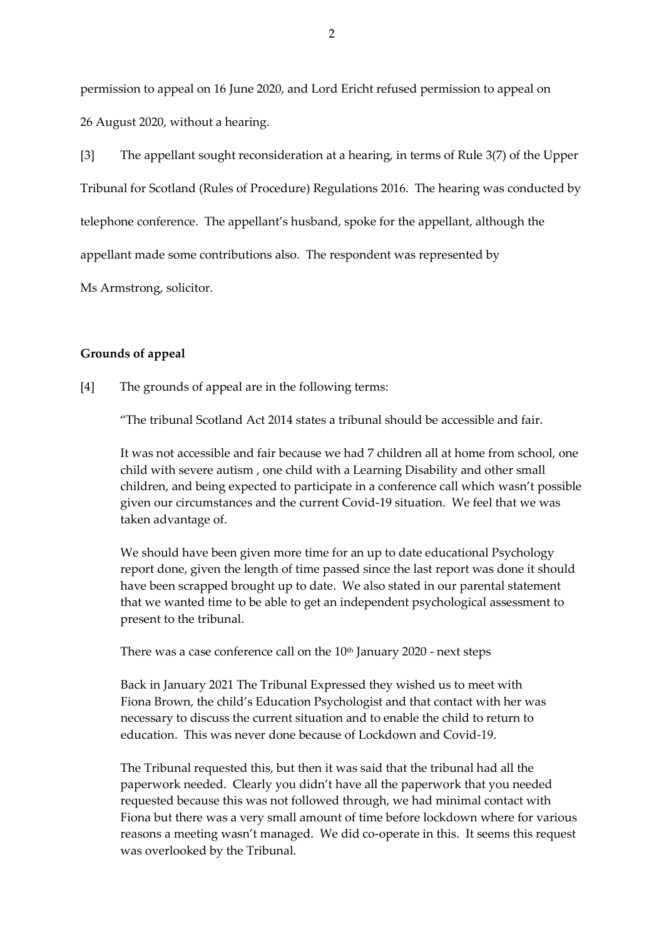permission to appeal on 16 June 2020, and Lord Ericht refused permission to appeal on 26 August 2020, without a hearing.

[3] The appellant sought reconsideration at a hearing, in terms of Rule 3(7) of the Upper Tribunal for Scotland (Rules of Procedure) Regulations 2016. The hearing was conducted by telephone conference. The appellant's husband, spoke for the appellant, although the appellant made some contributions also. The respondent was represented by

Ms Armstrong, solicitor.

#### **Grounds of appeal**

[4] The grounds of appeal are in the following terms:

"The tribunal Scotland Act 2014 states a tribunal should be accessible and fair.

It was not accessible and fair because we had 7 children all at home from school, one child with severe autism , one child with a Learning Disability and other small children, and being expected to participate in a conference call which wasn't possible given our circumstances and the current Covid-19 situation. We feel that we was taken advantage of.

We should have been given more time for an up to date educational Psychology report done, given the length of time passed since the last report was done it should have been scrapped brought up to date. We also stated in our parental statement that we wanted time to be able to get an independent psychological assessment to present to the tribunal.

There was a case conference call on the  $10<sup>th</sup>$  January 2020 - next steps

Back in January 2021 The Tribunal Expressed they wished us to meet with Fiona Brown, the child's Education Psychologist and that contact with her was necessary to discuss the current situation and to enable the child to return to education. This was never done because of Lockdown and Covid-19.

The Tribunal requested this, but then it was said that the tribunal had all the paperwork needed. Clearly you didn't have all the paperwork that you needed requested because this was not followed through, we had minimal contact with Fiona but there was a very small amount of time before lockdown where for various reasons a meeting wasn't managed. We did co-operate in this. It seems this request was overlooked by the Tribunal.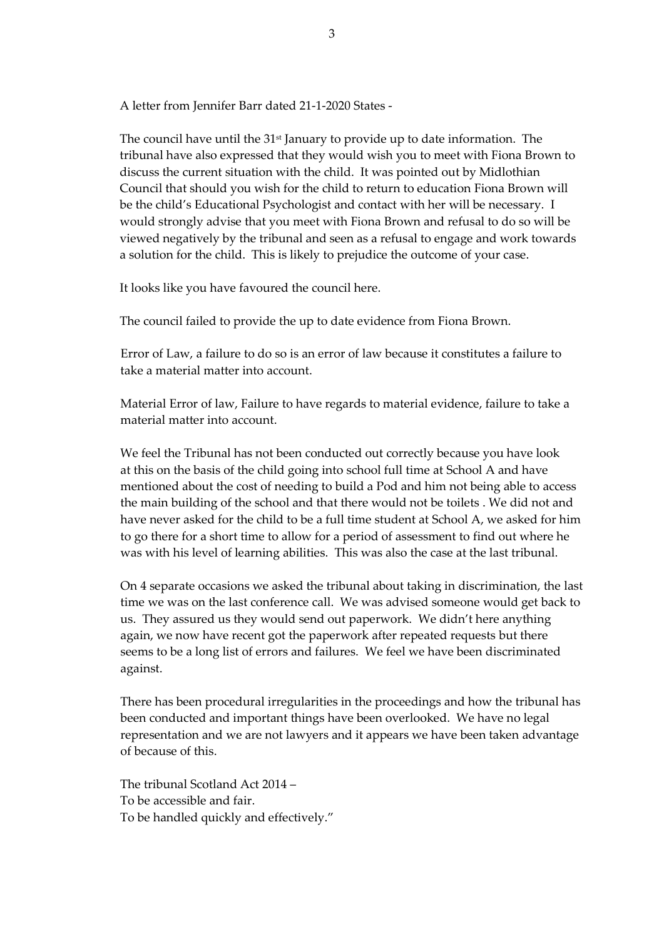A letter from Jennifer Barr dated 21-1-2020 States -

The council have until the 31<sup>st</sup> January to provide up to date information. The tribunal have also expressed that they would wish you to meet with Fiona Brown to discuss the current situation with the child. It was pointed out by Midlothian Council that should you wish for the child to return to education Fiona Brown will be the child's Educational Psychologist and contact with her will be necessary. I would strongly advise that you meet with Fiona Brown and refusal to do so will be viewed negatively by the tribunal and seen as a refusal to engage and work towards a solution for the child. This is likely to prejudice the outcome of your case.

It looks like you have favoured the council here.

The council failed to provide the up to date evidence from Fiona Brown.

Error of Law, a failure to do so is an error of law because it constitutes a failure to take a material matter into account.

Material Error of law, Failure to have regards to material evidence, failure to take a material matter into account.

We feel the Tribunal has not been conducted out correctly because you have look at this on the basis of the child going into school full time at School A and have mentioned about the cost of needing to build a Pod and him not being able to access the main building of the school and that there would not be toilets . We did not and have never asked for the child to be a full time student at School A, we asked for him to go there for a short time to allow for a period of assessment to find out where he was with his level of learning abilities. This was also the case at the last tribunal.

On 4 separate occasions we asked the tribunal about taking in discrimination, the last time we was on the last conference call. We was advised someone would get back to us. They assured us they would send out paperwork. We didn't here anything again, we now have recent got the paperwork after repeated requests but there seems to be a long list of errors and failures. We feel we have been discriminated against.

There has been procedural irregularities in the proceedings and how the tribunal has been conducted and important things have been overlooked. We have no legal representation and we are not lawyers and it appears we have been taken advantage of because of this.

The tribunal Scotland Act 2014 – To be accessible and fair. To be handled quickly and effectively."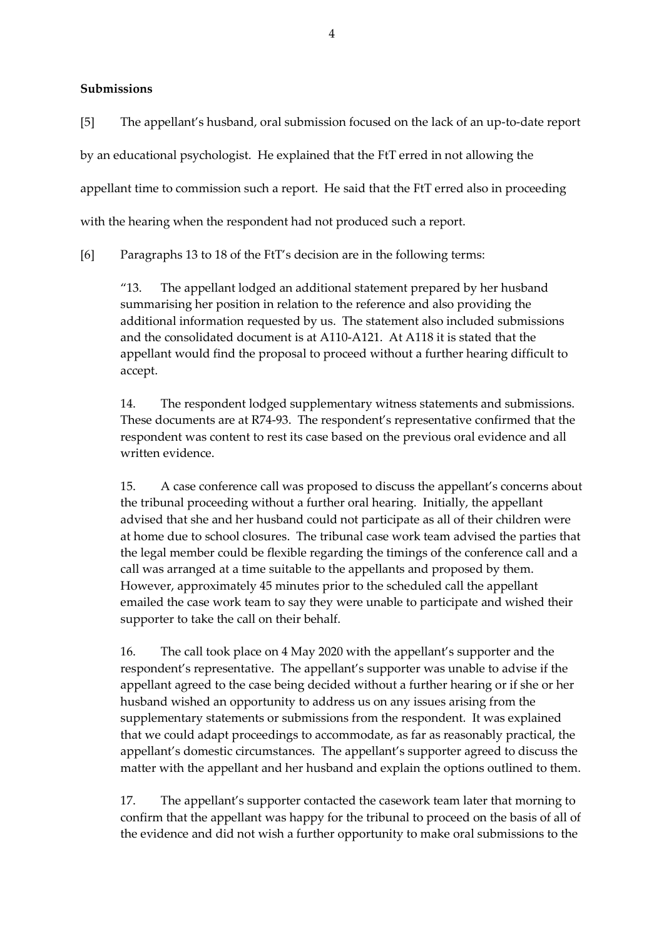**Submissions**

[5] The appellant's husband, oral submission focused on the lack of an up-to-date report by an educational psychologist. He explained that the FtT erred in not allowing the appellant time to commission such a report. He said that the FtT erred also in proceeding with the hearing when the respondent had not produced such a report.

[6] Paragraphs 13 to 18 of the FtT's decision are in the following terms:

"13. The appellant lodged an additional statement prepared by her husband summarising her position in relation to the reference and also providing the additional information requested by us. The statement also included submissions and the consolidated document is at A110-A121. At A118 it is stated that the appellant would find the proposal to proceed without a further hearing difficult to accept.

14. The respondent lodged supplementary witness statements and submissions. These documents are at R74-93. The respondent's representative confirmed that the respondent was content to rest its case based on the previous oral evidence and all written evidence.

15. A case conference call was proposed to discuss the appellant's concerns about the tribunal proceeding without a further oral hearing. Initially, the appellant advised that she and her husband could not participate as all of their children were at home due to school closures. The tribunal case work team advised the parties that the legal member could be flexible regarding the timings of the conference call and a call was arranged at a time suitable to the appellants and proposed by them. However, approximately 45 minutes prior to the scheduled call the appellant emailed the case work team to say they were unable to participate and wished their supporter to take the call on their behalf.

16. The call took place on 4 May 2020 with the appellant's supporter and the respondent's representative. The appellant's supporter was unable to advise if the appellant agreed to the case being decided without a further hearing or if she or her husband wished an opportunity to address us on any issues arising from the supplementary statements or submissions from the respondent. It was explained that we could adapt proceedings to accommodate, as far as reasonably practical, the appellant's domestic circumstances. The appellant's supporter agreed to discuss the matter with the appellant and her husband and explain the options outlined to them.

17. The appellant's supporter contacted the casework team later that morning to confirm that the appellant was happy for the tribunal to proceed on the basis of all of the evidence and did not wish a further opportunity to make oral submissions to the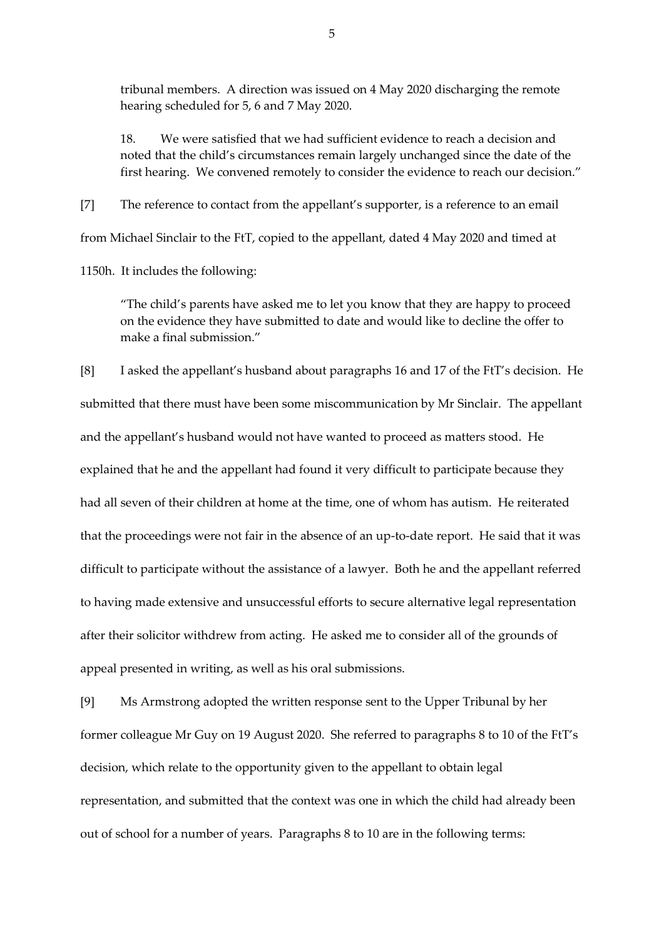tribunal members. A direction was issued on 4 May 2020 discharging the remote hearing scheduled for 5, 6 and 7 May 2020.

18. We were satisfied that we had sufficient evidence to reach a decision and noted that the child's circumstances remain largely unchanged since the date of the first hearing. We convened remotely to consider the evidence to reach our decision."

[7] The reference to contact from the appellant's supporter, is a reference to an email from Michael Sinclair to the FtT, copied to the appellant, dated 4 May 2020 and timed at

1150h. It includes the following:

"The child's parents have asked me to let you know that they are happy to proceed on the evidence they have submitted to date and would like to decline the offer to make a final submission."

[8] I asked the appellant's husband about paragraphs 16 and 17 of the FtT's decision. He submitted that there must have been some miscommunication by Mr Sinclair. The appellant and the appellant's husband would not have wanted to proceed as matters stood. He explained that he and the appellant had found it very difficult to participate because they had all seven of their children at home at the time, one of whom has autism. He reiterated that the proceedings were not fair in the absence of an up-to-date report. He said that it was difficult to participate without the assistance of a lawyer. Both he and the appellant referred to having made extensive and unsuccessful efforts to secure alternative legal representation after their solicitor withdrew from acting. He asked me to consider all of the grounds of appeal presented in writing, as well as his oral submissions.

[9] Ms Armstrong adopted the written response sent to the Upper Tribunal by her former colleague Mr Guy on 19 August 2020. She referred to paragraphs 8 to 10 of the FtT's decision, which relate to the opportunity given to the appellant to obtain legal representation, and submitted that the context was one in which the child had already been out of school for a number of years. Paragraphs 8 to 10 are in the following terms: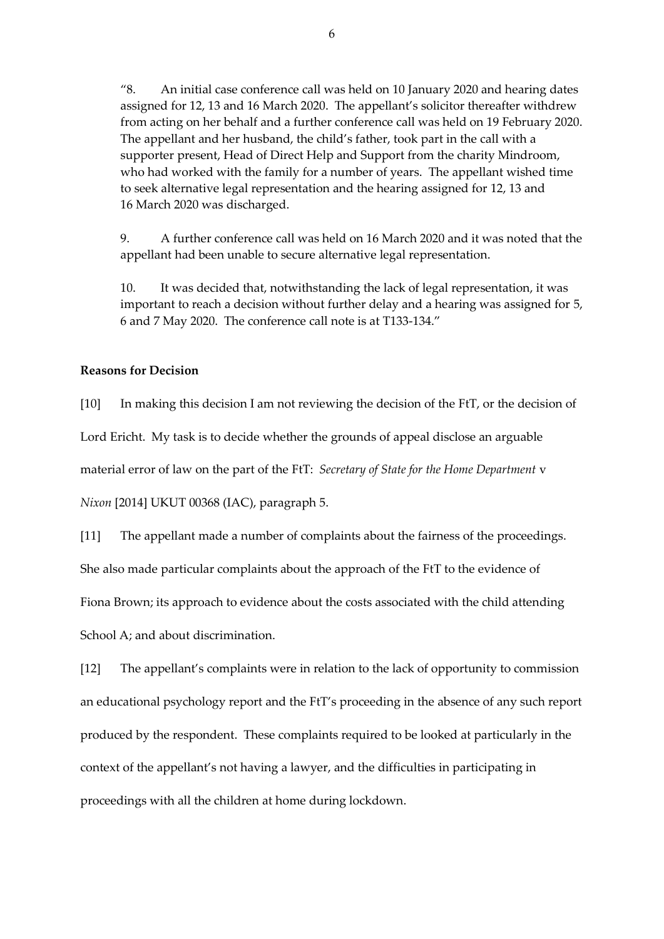"8. An initial case conference call was held on 10 January 2020 and hearing dates assigned for 12, 13 and 16 March 2020. The appellant's solicitor thereafter withdrew from acting on her behalf and a further conference call was held on 19 February 2020. The appellant and her husband, the child's father, took part in the call with a supporter present, Head of Direct Help and Support from the charity Mindroom, who had worked with the family for a number of years. The appellant wished time to seek alternative legal representation and the hearing assigned for 12, 13 and 16 March 2020 was discharged.

9. A further conference call was held on 16 March 2020 and it was noted that the appellant had been unable to secure alternative legal representation.

10. It was decided that, notwithstanding the lack of legal representation, it was important to reach a decision without further delay and a hearing was assigned for 5, 6 and 7 May 2020. The conference call note is at T133-134."

#### **Reasons for Decision**

[10] In making this decision I am not reviewing the decision of the FtT, or the decision of Lord Ericht. My task is to decide whether the grounds of appeal disclose an arguable material error of law on the part of the FtT: *Secretary of State for the Home Department* v *Nixon* [2014] UKUT 00368 (IAC), paragraph 5.

[11] The appellant made a number of complaints about the fairness of the proceedings.

She also made particular complaints about the approach of the FtT to the evidence of

Fiona Brown; its approach to evidence about the costs associated with the child attending

School A; and about discrimination.

[12] The appellant's complaints were in relation to the lack of opportunity to commission an educational psychology report and the FtT's proceeding in the absence of any such report produced by the respondent. These complaints required to be looked at particularly in the context of the appellant's not having a lawyer, and the difficulties in participating in proceedings with all the children at home during lockdown.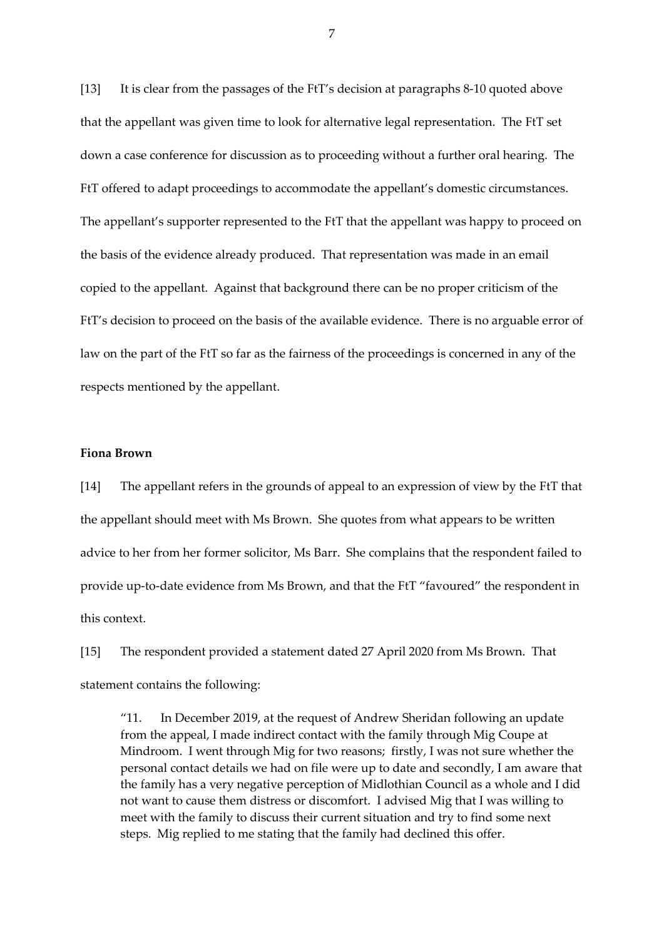[13] It is clear from the passages of the FtT's decision at paragraphs 8-10 quoted above that the appellant was given time to look for alternative legal representation. The FtT set down a case conference for discussion as to proceeding without a further oral hearing. The FtT offered to adapt proceedings to accommodate the appellant's domestic circumstances. The appellant's supporter represented to the FtT that the appellant was happy to proceed on the basis of the evidence already produced. That representation was made in an email copied to the appellant. Against that background there can be no proper criticism of the FtT's decision to proceed on the basis of the available evidence. There is no arguable error of law on the part of the FtT so far as the fairness of the proceedings is concerned in any of the respects mentioned by the appellant.

#### **Fiona Brown**

[14] The appellant refers in the grounds of appeal to an expression of view by the FtT that the appellant should meet with Ms Brown. She quotes from what appears to be written advice to her from her former solicitor, Ms Barr. She complains that the respondent failed to provide up-to-date evidence from Ms Brown, and that the FtT "favoured" the respondent in this context.

[15] The respondent provided a statement dated 27 April 2020 from Ms Brown. That statement contains the following:

"11. In December 2019, at the request of Andrew Sheridan following an update from the appeal, I made indirect contact with the family through Mig Coupe at Mindroom. I went through Mig for two reasons; firstly, I was not sure whether the personal contact details we had on file were up to date and secondly, I am aware that the family has a very negative perception of Midlothian Council as a whole and I did not want to cause them distress or discomfort. I advised Mig that I was willing to meet with the family to discuss their current situation and try to find some next steps. Mig replied to me stating that the family had declined this offer.

7